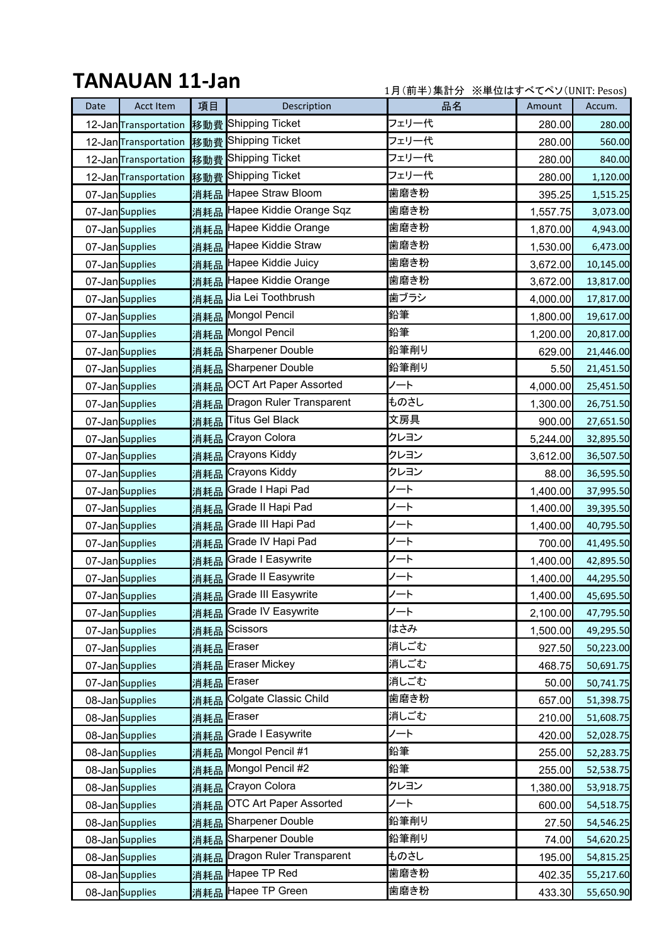## **TANAUAN 11-Jan**

1月(前半)集計分 ※単位はすべてペソ(UNIT: Pesos)

| Date | <b>Acct Item</b>          | 項目  | Description                                | 品名    | Amount   | Accum.    |
|------|---------------------------|-----|--------------------------------------------|-------|----------|-----------|
|      |                           |     | 12-Jan Transportation  移動費 Shipping Ticket | フェリー代 | 280.00   | 280.00    |
|      |                           |     | 12-Jan Transportation 移動費 Shipping Ticket  | フェリー代 | 280.00   | 560.00    |
|      | 12-Jan Transportation 移動費 |     | Shipping Ticket                            | フェリー代 | 280.00   | 840.00    |
|      | 12-Jan Transportation 移動費 |     | <b>Shipping Ticket</b>                     | フェリー代 | 280.00   | 1,120.00  |
|      | 07-Jan Supplies           |     | 消耗品 Hapee Straw Bloom                      | 歯磨き粉  | 395.25   | 1,515.25  |
|      | 07-Jan Supplies           |     | 消耗品 Hapee Kiddie Orange Sqz                | 歯磨き粉  | 1,557.75 | 3,073.00  |
|      | 07-Jan Supplies           |     | 消耗品 Hapee Kiddie Orange                    | 歯磨き粉  | 1,870.00 | 4,943.00  |
|      | 07-Jan Supplies           |     | 消耗品 Hapee Kiddie Straw                     | 歯磨き粉  | 1,530.00 | 6,473.00  |
|      | 07-Jan Supplies           |     | 消耗品 Hapee Kiddie Juicy                     | 歯磨き粉  | 3,672.00 | 10,145.00 |
|      | 07-Jan Supplies           |     | 消耗品 Hapee Kiddie Orange                    | 歯磨き粉  | 3,672.00 | 13,817.00 |
|      | 07-Jan Supplies           | 消耗品 | Jia Lei Toothbrush                         | 歯ブラシ  | 4,000.00 | 17,817.00 |
|      | 07-Jan Supplies           |     | 消耗品 Mongol Pencil                          | 鉛筆    | 1,800.00 | 19,617.00 |
|      | 07-Jan Supplies           |     | 消耗品 Mongol Pencil                          | 鉛筆    | 1,200.00 | 20,817.00 |
|      | 07-Jan Supplies           | 消耗品 | Sharpener Double                           | 鉛筆削り  | 629.00   | 21,446.00 |
|      | 07-Jan Supplies           |     | 消耗品 Sharpener Double                       | 鉛筆削り  | 5.50     | 21,451.50 |
|      | 07-Jan Supplies           |     | 消耗品 OCT Art Paper Assorted                 | ノート   | 4,000.00 | 25,451.50 |
|      | 07-Jan Supplies           |     | 消耗品 Dragon Ruler Transparent               | ものさし  | 1,300.00 | 26,751.50 |
|      | 07-Jan Supplies           |     | 消耗品 Titus Gel Black                        | 文房具   | 900.00   | 27,651.50 |
|      | 07-Jan Supplies           |     | 消耗品 Crayon Colora                          | クレヨン  | 5,244.00 | 32,895.50 |
|      | 07-Jan Supplies           |     | 消耗品 Crayons Kiddy                          | クレヨン  | 3,612.00 | 36,507.50 |
|      | 07-Jan Supplies           | 消耗品 | Crayons Kiddy                              | クレヨン  | 88.00    | 36,595.50 |
|      | 07-Jan Supplies           |     | 消耗品 Grade I Hapi Pad                       | ノート   | 1,400.00 | 37,995.50 |
|      | 07-Jan Supplies           | 消耗品 | Grade II Hapi Pad                          | ノート   | 1,400.00 | 39,395.50 |
|      | 07-Jan Supplies           | 消耗品 | Grade III Hapi Pad                         | ノート   | 1,400.00 | 40,795.50 |
|      | 07-Jan <b>Supplies</b>    |     | 消耗品 Grade IV Hapi Pad                      | ノート   | 700.00   | 41,495.50 |
|      | 07-Jan Supplies           | 消耗品 | Grade I Easywrite                          | ノート   | 1,400.00 | 42,895.50 |
|      | 07-Jan Supplies           |     | <mark>消耗品</mark> Grade II Easywrite        | ノート   | 1,400.00 | 44,295.50 |
|      | 07-Jan Supplies           |     | 消耗品 Grade III Easywrite                    | ノート   | 1,400.00 | 45,695.50 |
|      | 07-Jan Supplies           |     | 消耗品 Grade IV Easywrite                     | ノート   | 2,100.00 | 47,795.50 |
|      | 07-Jan Supplies           |     | 消耗品 Scissors                               | はさみ   | 1,500.00 | 49,295.50 |
|      | 07-Jan Supplies           |     | 消耗品 Eraser                                 | 消しごむ  | 927.50   | 50,223.00 |
|      | 07-Jan Supplies           |     | 消耗品 Eraser Mickey                          | 消しごむ  | 468.75   | 50,691.75 |
|      | 07-Jan Supplies           |     | 消耗品 Eraser                                 | 消しごむ  | 50.00    | 50,741.75 |
|      | 08-Jan Supplies           |     | 消耗品 Colgate Classic Child                  | 歯磨き粉  | 657.00   | 51,398.75 |
|      | 08-Jan Supplies           |     | 消耗品 Eraser                                 | 消しごむ  | 210.00   | 51,608.75 |
|      | 08-Jan Supplies           |     | 消耗品 Grade I Easywrite                      | ノート   | 420.00   | 52,028.75 |
|      | 08-Jan Supplies           |     | 消耗品 Mongol Pencil #1                       | 鉛筆    | 255.00   | 52,283.75 |
|      | 08-Jan Supplies           |     | 消耗品 Mongol Pencil #2                       | 鉛筆    | 255.00   | 52,538.75 |
|      | 08-Jan Supplies           |     | 消耗品 Crayon Colora                          | クレヨン  | 1,380.00 | 53,918.75 |
|      | 08-Jan Supplies           |     | 消耗品 OTC Art Paper Assorted                 | ノート   | 600.00   | 54,518.75 |
|      | 08-Jan Supplies           |     | 消耗品 Sharpener Double                       | 鉛筆削り  | 27.50    | 54,546.25 |
|      | 08-Jan Supplies           |     | 消耗品 Sharpener Double                       | 鉛筆削り  | 74.00    | 54,620.25 |
|      | 08-Jan Supplies           |     | 消耗品 Dragon Ruler Transparent               | ものさし  | 195.00   | 54,815.25 |
|      | 08-Jan Supplies           |     | 消耗品 Hapee TP Red                           | 歯磨き粉  | 402.35   | 55,217.60 |
|      | 08-Jan Supplies           |     | 消耗品 Hapee TP Green                         | 歯磨き粉  | 433.30   | 55,650.90 |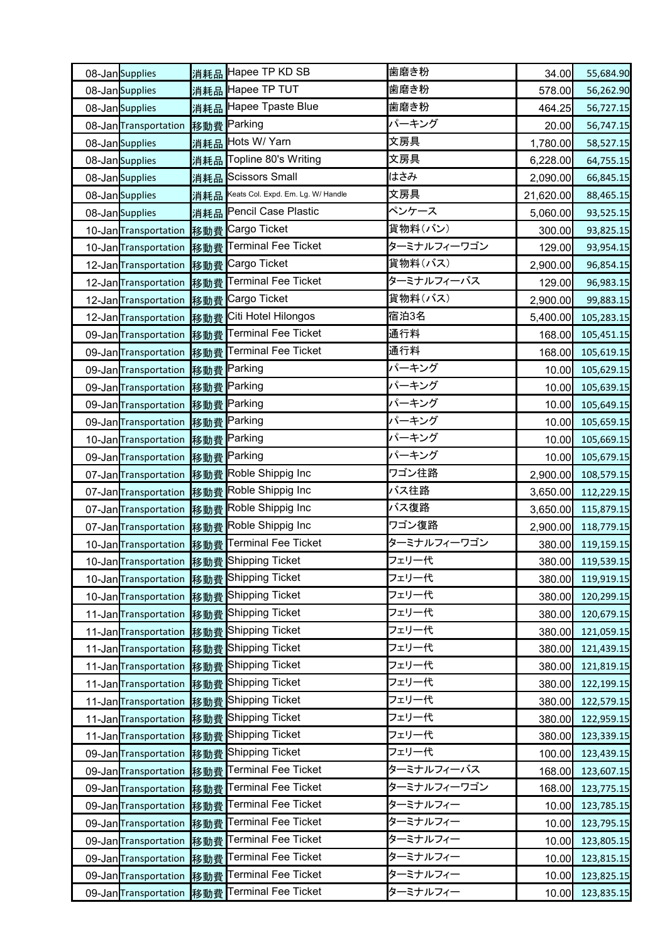| 08-Jan Supplies |                                   |     | 消耗品 Hapee TP KD SB                            | 歯磨き粉        | 34.00     | 55,684.90         |
|-----------------|-----------------------------------|-----|-----------------------------------------------|-------------|-----------|-------------------|
| 08-Jan Supplies |                                   |     | 消耗品 Hapee TP TUT                              | 歯磨き粉        | 578.00    | 56,262.90         |
| 08-Jan Supplies |                                   |     | 消耗品 Hapee Tpaste Blue                         | 歯磨き粉        | 464.25    | 56,727.15         |
|                 | 08-Jan Transportation             |     | 移動費 Parking                                   | パーキング       | 20.00     | 56,747.15         |
| 08-Jan Supplies |                                   |     | <mark>消耗品</mark> Hots W/ Yarn                 | 文房具         | 1,780.00  | 58,527.15         |
| 08-Jan Supplies |                                   |     | <mark>消耗品</mark> Topline 80's Writing         | 文房具         | 6,228.00  | 64,755.15         |
| 08-Jan Supplies |                                   |     | 消耗品 Scissors Small                            | はさみ         | 2,090.00  | 66,845.15         |
| 08-Jan Supplies |                                   |     | 消耗品 Keats Col. Expd. Em. Lg. W/ Handle        | 文房具         | 21,620.00 | 88,465.15         |
| 08-Jan Supplies |                                   |     | 消耗品 Pencil Case Plastic                       | ペンケース       | 5,060.00  | 93,525.15         |
|                 | 10-Jan Transportation             |     | 移動費 Cargo Ticket                              | 貨物料(バン)     | 300.00    | 93,825.15         |
|                 |                                   |     | 10-Jan Transportation 移動費 Terminal Fee Ticket | ターミナルフィーワゴン | 129.00    | 93,954.15         |
|                 | 12-Jan Transportation 移動費         |     | Cargo Ticket                                  | 貨物料(バス)     | 2,900.00  | 96,854.15         |
|                 | 12-Jan Transportation             |     | 移動費 Terminal Fee Ticket                       | ターミナルフィーバス  | 129.00    | 96,983.15         |
|                 | 12-Jan Transportation             | 移動費 | Cargo Ticket                                  | 貨物料(バス)     | 2,900.00  | 99,883.15         |
|                 | 12-Jan Transportation 移動費         |     | Citi Hotel Hilongos                           | 宿泊3名        | 5,400.00  | 105,283.15        |
|                 |                                   |     | 09-Jan Transportation 移動費 Terminal Fee Ticket | 通行料         | 168.00    | 105,451.15        |
|                 |                                   |     | 09-Jan Transportation 杨動費 Terminal Fee Ticket | 通行料         | 168.00    | 105,619.15        |
|                 | 09-Jan Transportation             |     | 移動費 Parking                                   | パーキング       | 10.00     | 105,629.15        |
|                 | 09-Jan Transportation             |     | 移動費 Parking                                   | パーキング       | 10.00     | 105,639.15        |
|                 | 09-Jan Transportation 移動費 Parking |     |                                               | パーキング       | 10.00     | 105,649.15        |
|                 | 09-Jan Transportation 移動費 Parking |     |                                               | パーキング       | 10.00     | 105,659.15        |
|                 | 10-Jan Transportation 移動費 Parking |     |                                               | パーキング       | 10.00     | 105,669.15        |
|                 | 09-Jan Transportation             |     | 移動費 Parking                                   | パーキング       | 10.00     | 105,679.15        |
|                 | 07-Jan Transportation             |     | 移動費 Roble Shippig Inc                         | ワゴン往路       | 2,900.00  | 108,579.15        |
|                 |                                   |     | 07-Jan Transportation 杨動費 Roble Shippig Inc   | バス往路        | 3,650.00  | 112,229.15        |
|                 |                                   |     | 07-JanTransportation 移動費 Roble Shippig Inc    | バス復路        | 3,650.00  | 115,879.15        |
|                 |                                   |     | 07-JanTransportation 杨動費 Roble Shippig Inc    | ワゴン復路       | 2,900.00  | 118,779.15        |
|                 |                                   |     | 10-Jan Transportation 格動費 Terminal Fee Ticket | ターミナルフィーワゴン | 380.00    | 119,159.15        |
|                 |                                   |     | 10-JanTransportation 移動費 Shipping Ticket      | フェリー代       |           | 380.00 119,539.15 |
|                 |                                   |     | 10-Jan Transportation  移動費 Shipping Ticket    | フェリー代       | 380.00    | 119,919.15        |
|                 |                                   |     | 10-Jan Transportation 移動費 Shipping Ticket     | フェリー代       | 380.00    | 120,299.15        |
|                 | 11-Jan Transportation 移動費         |     | Shipping Ticket                               | フェリー代       | 380.00    | 120,679.15        |
|                 | 11-Jan Transportation             |     | 移動費 Shipping Ticket                           | フェリー代       | 380.00    | 121,059.15        |
|                 | 11-Jan Transportation             | 移動費 | Shipping Ticket                               | フェリー代       | 380.00    | 121,439.15        |
|                 | 11-Jan Transportation             |     | 移動費 Shipping Ticket                           | フェリー代       | 380.00    | 121,819.15        |
|                 | 11-Jan Transportation             | 移動費 | Shipping Ticket                               | フェリー代       | 380.00    | 122,199.15        |
|                 | 11-JanTransportation              | 移動費 | Shipping Ticket                               | フェリー代       | 380.00    | 122,579.15        |
|                 | 11-Jan Transportation             |     | 移動費 Shipping Ticket                           | フェリー代       | 380.00    | 122,959.15        |
|                 | 11-Jan Transportation             | 移動費 | Shipping Ticket                               | フェリー代       | 380.00    | 123,339.15        |
|                 | 09-Jan Transportation             |     | 移動費 Shipping Ticket                           | フェリー代       | 100.00    | 123,439.15        |
|                 | 09-Jan Transportation             |     | 移動費 Terminal Fee Ticket                       | ターミナルフィーバス  | 168.00    | 123,607.15        |
|                 | 09-Jan Transportation             | 移動費 | <b>Terminal Fee Ticket</b>                    | ターミナルフィーワゴン | 168.00    | 123,775.15        |
|                 | 09-Jan Transportation             |     | 移動費 Terminal Fee Ticket                       | ターミナルフィー    | 10.00     | 123,785.15        |
|                 | 09-Jan Transportation             | 移動費 | <b>Terminal Fee Ticket</b>                    | ターミナルフィー    | 10.00     | 123,795.15        |
|                 | 09-Jan Transportation             | 移動費 | <b>Terminal Fee Ticket</b>                    | ターミナルフィー    | 10.00     | 123,805.15        |
|                 | 09-Jan Transportation             | 移動費 | Terminal Fee Ticket                           | ターミナルフィー    | 10.00     | 123,815.15        |
|                 | 09-Jan Transportation 移動費         |     | <b>Terminal Fee Ticket</b>                    | ターミナルフィー    | 10.00     | 123,825.15        |
|                 |                                   |     | 09-Jan Transportation 杨動費 Terminal Fee Ticket | ターミナルフィー    | 10.00     | 123,835.15        |
|                 |                                   |     |                                               |             |           |                   |